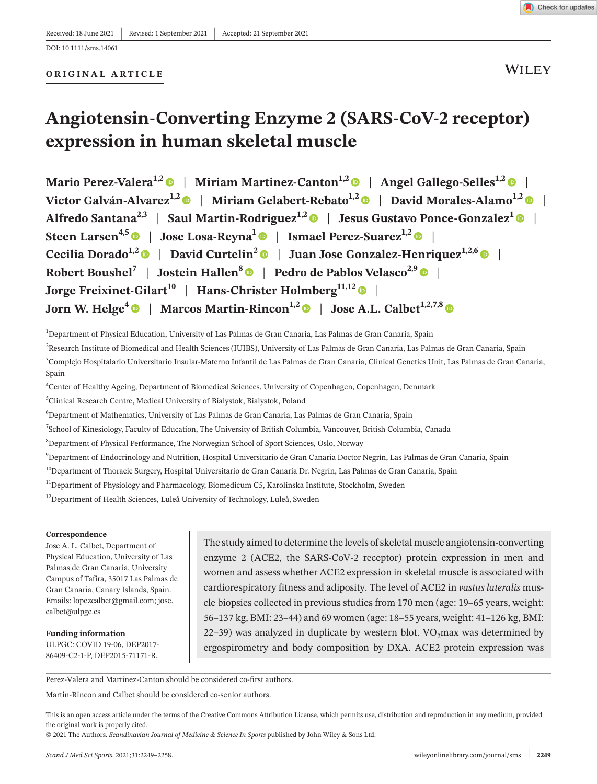#### **ORIGINAL ARTICLE**

**WILEY** 

Check for updates

# **Angiotensin-Converting Enzyme 2 (SARS-CoV-2 receptor) expression in human skeletal muscle**

**Mario Perez-Valera<sup>1,[2](https://orcid.org/0000-0002-8068-9586)</sup>**  $\bullet$  **| Miriam Martinez-Canton<sup>1,2</sup>**  $\bullet$  **| Angel Gallego-Selles<sup>1,2</sup>**  $\bullet$  **| Victor Galván-Alvarez1,2** | **Miriam Gelabert-Rebato1,[2](https://orcid.org/0000-0002-8963-5568)** | **David Morales-Alamo1,2** | **Alfredo Santana<sup>2,3</sup> | Saul Martin-Rodriguez<sup>1,2</sup>**  $\bullet$  **| Jesus Gustavo Ponce-Gonzalez<sup>1</sup>**  $\bullet$  **| Steen Larsen<sup>4,5</sup> | Jose Losa-Reyna<sup>1</sup> | Ismael Perez-Suarez<sup>1,2</sup> | <b>| Cecilia Dorado**<sup>1,[2](https://orcid.org/0000-0001-6462-382X)</sup>  $\bullet$  | David Curtelin<sup>2</sup>  $\bullet$  | Juan Jose Gonzalez-Henriquez<sup>1,2,[6](https://orcid.org/0000-0002-0622-5580)</sup>  $\bullet$  | **Robert Boushel<sup>7</sup> | Jostein Hallen<sup>[8](https://orcid.org/0000-0002-6646-0734)</sup>**  $\bullet$  **| Pedro de Pablos Velasco<sup>2,9</sup>**  $\bullet$  **| Jorge Freixinet-Gilart<sup>10</sup>** | **Hans-Christer Holmberg11,1[2](https://orcid.org/0000-0002-3814-6246)** | **Jorn W. Helge<sup>4</sup>**  $\bullet$  **| Marcos Martin-Rincon<sup>1,[2](https://orcid.org/0000-0002-3685-2331)</sup>**  $\bullet$  **| Jose A.L. Calbet<sup>1,2,7,[8](https://orcid.org/0000-0002-9215-6234)</sup>**  $\bullet$ 

1 Department of Physical Education, University of Las Palmas de Gran Canaria, Las Palmas de Gran Canaria, Spain

<sup>2</sup>Research Institute of Biomedical and Health Sciences (IUIBS), University of Las Palmas de Gran Canaria, Las Palmas de Gran Canaria, Spain

3 Complejo Hospitalario Universitario Insular-Materno Infantil de Las Palmas de Gran Canaria, Clinical Genetics Unit, Las Palmas de Gran Canaria, Spain

4 Center of Healthy Ageing, Department of Biomedical Sciences, University of Copenhagen, Copenhagen, Denmark

5 Clinical Research Centre, Medical University of Bialystok, Bialystok, Poland

6 Department of Mathematics, University of Las Palmas de Gran Canaria, Las Palmas de Gran Canaria, Spain

7 School of Kinesiology, Faculty of Education, The University of British Columbia, Vancouver, British Columbia, Canada

8 Department of Physical Performance, The Norwegian School of Sport Sciences, Oslo, Norway

9 Department of Endocrinology and Nutrition, Hospital Universitario de Gran Canaria Doctor Negrín, Las Palmas de Gran Canaria, Spain

<sup>10</sup>Department of Thoracic Surgery, Hospital Universitario de Gran Canaria Dr. Negrín, Las Palmas de Gran Canaria, Spain

<sup>11</sup>Department of Physiology and Pharmacology, Biomedicum C5, Karolinska Institute, Stockholm, Sweden

<sup>12</sup>Department of Health Sciences, Luleå University of Technology, Luleå, Sweden

#### **Correspondence**

Jose A. L. Calbet, Department of Physical Education, University of Las Palmas de Gran Canaria, University Campus of Tafira, 35017 Las Palmas de Gran Canaria, Canary Islands, Spain. Emails: [lopezcalbet@gmail.com;](mailto:lopezcalbet@gmail.com) [jose.](mailto:jose.calbet@ulpgc.es) [calbet@ulpgc.es](mailto:jose.calbet@ulpgc.es)

**Funding information** ULPGC: COVID 19-06, DEP2017- 86409-C2-1-P, DEP2015-71171-R,

The study aimed to determine the levels of skeletal muscle angiotensin-converting enzyme 2 (ACE2, the SARS-CoV-2 receptor) protein expression in men and women and assess whether ACE2 expression in skeletal muscle is associated with cardiorespiratory fitness and adiposity. The level of ACE2 in *vastus lateralis* muscle biopsies collected in previous studies from 170 men (age: 19–65 years, weight: 56–137 kg, BMI: 23–44) and 69 women (age: 18–55 years, weight: 41–126 kg, BMI: 22–39) was analyzed in duplicate by western blot.  $VO<sub>2</sub>$  max was determined by ergospirometry and body composition by DXA. ACE2 protein expression was

Perez-Valera and Martinez-Canton should be considered co-first authors.

Martin-Rincon and Calbet should be considered co-senior authors.

This is an open access article under the terms of the [Creative Commons Attribution](http://creativecommons.org/licenses/by/4.0/) License, which permits use, distribution and reproduction in any medium, provided the original work is properly cited.

© 2021 The Authors. *Scandinavian Journal of Medicine & Science In Sports* published by John Wiley & Sons Ltd.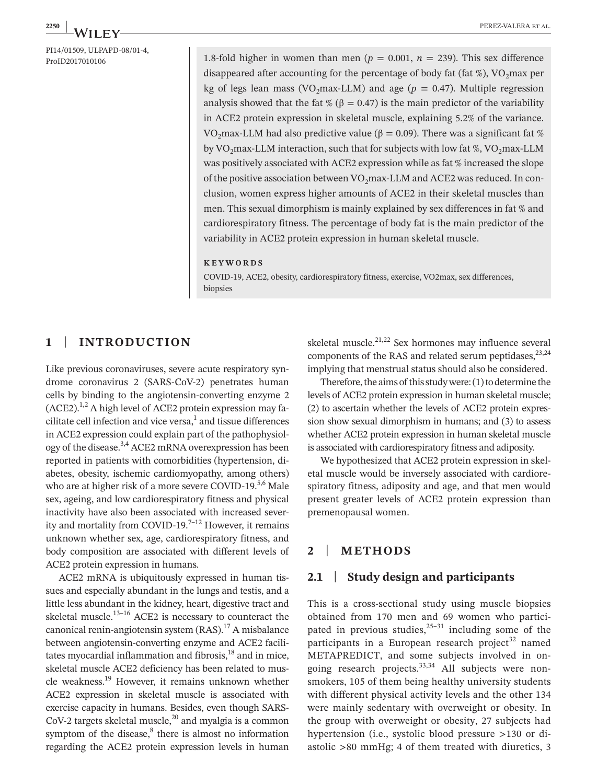PI14/01509, ULPAPD-08/01-4,<br>ProID2017010106

1.8-fold higher in women than men ( $p = 0.001$ ,  $n = 239$ ). This sex difference disappeared after accounting for the percentage of body fat (fat %),  $VO<sub>2</sub>$ max per kg of legs lean mass (VO<sub>2</sub>max-LLM) and age ( $p = 0.47$ ). Multiple regression analysis showed that the fat % ( $\beta$  = 0.47) is the main predictor of the variability in ACE2 protein expression in skeletal muscle, explaining 5.2% of the variance. VO<sub>2</sub>max-LLM had also predictive value (β = 0.09). There was a significant fat % by VO<sub>2</sub>max-LLM interaction, such that for subjects with low fat %, VO<sub>2</sub>max-LLM was positively associated with ACE2 expression while as fat % increased the slope of the positive association between  $VO_2$ max-LLM and ACE2 was reduced. In conclusion, women express higher amounts of ACE2 in their skeletal muscles than men. This sexual dimorphism is mainly explained by sex differences in fat % and cardiorespiratory fitness. The percentage of body fat is the main predictor of the variability in ACE2 protein expression in human skeletal muscle.

#### **KEYWORDS**

COVID-19, ACE2, obesity, cardiorespiratory fitness, exercise, VO2max, sex differences, biopsies

## **1** | **INTRODUCTION**

Like previous coronaviruses, severe acute respiratory syndrome coronavirus 2 (SARS-CoV-2) penetrates human cells by binding to the angiotensin-converting enzyme 2  $(ACE2)^{1,2}$  A high level of ACE2 protein expression may facilitate cell infection and vice versa, $<sup>1</sup>$  and tissue differences</sup> in ACE2 expression could explain part of the pathophysiology of the disease.3,4 ACE2 mRNA overexpression has been reported in patients with comorbidities (hypertension, diabetes, obesity, ischemic cardiomyopathy, among others) who are at higher risk of a more severe COVID-19.<sup>5,6</sup> Male sex, ageing, and low cardiorespiratory fitness and physical inactivity have also been associated with increased severity and mortality from COVID-19.<sup>7-12</sup> However, it remains unknown whether sex, age, cardiorespiratory fitness, and body composition are associated with different levels of ACE2 protein expression in humans.

ACE2 mRNA is ubiquitously expressed in human tissues and especially abundant in the lungs and testis, and a little less abundant in the kidney, heart, digestive tract and skeletal muscle. $13-16$  ACE2 is necessary to counteract the canonical renin-angiotensin system  $(RAS)$ .<sup>17</sup> A misbalance between angiotensin-converting enzyme and ACE2 facilitates myocardial inflammation and fibrosis, $18$  and in mice, skeletal muscle ACE2 deficiency has been related to muscle weakness.19 However, it remains unknown whether ACE2 expression in skeletal muscle is associated with exercise capacity in humans. Besides, even though SARS-CoV-2 targets skeletal muscle, $^{20}$  and myalgia is a common symptom of the disease,<sup>8</sup> there is almost no information regarding the ACE2 protein expression levels in human skeletal muscle. $21,22$  Sex hormones may influence several components of the RAS and related serum peptidases, $^{23,24}$ implying that menstrual status should also be considered.

Therefore, the aims of this study were: (1) to determine the levels of ACE2 protein expression in human skeletal muscle; (2) to ascertain whether the levels of ACE2 protein expression show sexual dimorphism in humans; and (3) to assess whether ACE2 protein expression in human skeletal muscle is associated with cardiorespiratory fitness and adiposity.

We hypothesized that ACE2 protein expression in skeletal muscle would be inversely associated with cardiorespiratory fitness, adiposity and age, and that men would present greater levels of ACE2 protein expression than premenopausal women.

## **2** | **METHODS**

## **2.1** | **Study design and participants**

This is a cross-sectional study using muscle biopsies obtained from 170 men and 69 women who participated in previous studies, $25-31$  including some of the participants in a European research project<sup>32</sup> named METAPREDICT, and some subjects involved in ongoing research projects. $33,34$  All subjects were nonsmokers, 105 of them being healthy university students with different physical activity levels and the other 134 were mainly sedentary with overweight or obesity. In the group with overweight or obesity, 27 subjects had hypertension (i.e., systolic blood pressure >130 or diastolic >80 mmHg; 4 of them treated with diuretics, 3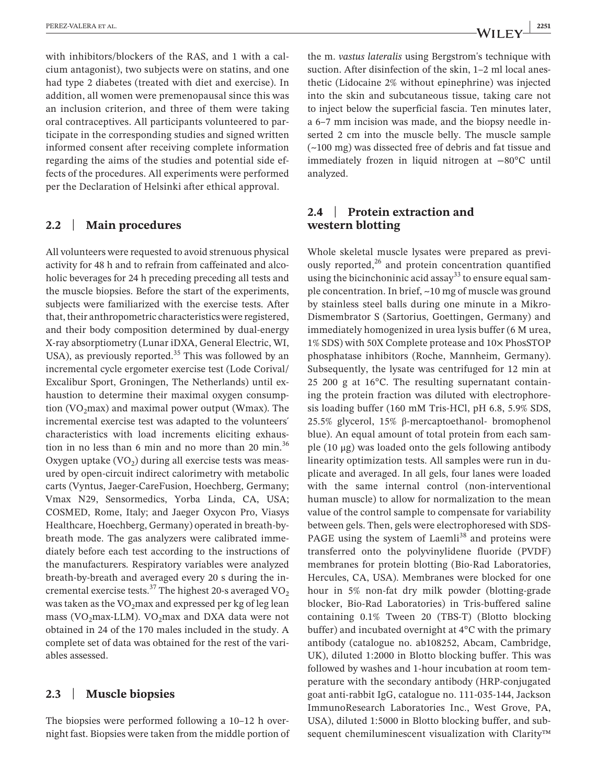with inhibitors/blockers of the RAS, and 1 with a calcium antagonist), two subjects were on statins, and one had type 2 diabetes (treated with diet and exercise). In addition, all women were premenopausal since this was an inclusion criterion, and three of them were taking oral contraceptives. All participants volunteered to participate in the corresponding studies and signed written informed consent after receiving complete information regarding the aims of the studies and potential side effects of the procedures. All experiments were performed per the Declaration of Helsinki after ethical approval.

#### **2.2** | **Main procedures**

All volunteers were requested to avoid strenuous physical activity for 48 h and to refrain from caffeinated and alcoholic beverages for 24 h preceding preceding all tests and the muscle biopsies. Before the start of the experiments, subjects were familiarized with the exercise tests. After that, their anthropometric characteristics were registered, and their body composition determined by dual-energy X-ray absorptiometry (Lunar iDXA, General Electric, WI, USA), as previously reported. $35$  This was followed by an incremental cycle ergometer exercise test (Lode Corival/ Excalibur Sport, Groningen, The Netherlands) until exhaustion to determine their maximal oxygen consumption (VO<sub>2</sub>max) and maximal power output (Wmax). The incremental exercise test was adapted to the volunteers´ characteristics with load increments eliciting exhaustion in no less than 6 min and no more than 20 min. $36$ Oxygen uptake  $(VO<sub>2</sub>)$  during all exercise tests was measured by open-circuit indirect calorimetry with metabolic carts (Vyntus, Jaeger-CareFusion, Hoechberg, Germany; Vmax N29, Sensormedics, Yorba Linda, CA, USA; COSMED, Rome, Italy; and Jaeger Oxycon Pro, Viasys Healthcare, Hoechberg, Germany) operated in breath-bybreath mode. The gas analyzers were calibrated immediately before each test according to the instructions of the manufacturers. Respiratory variables were analyzed breath-by-breath and averaged every 20 s during the incremental exercise tests.<sup>37</sup> The highest 20-s averaged  $VO<sub>2</sub>$ was taken as the  $VO_2$ max and expressed per kg of leg lean mass (VO<sub>2</sub>max-LLM). VO<sub>2</sub>max and DXA data were not obtained in 24 of the 170 males included in the study. A complete set of data was obtained for the rest of the variables assessed.

### **2.3** | **Muscle biopsies**

The biopsies were performed following a 10–12 h overnight fast. Biopsies were taken from the middle portion of

the m. *vastus lateralis* using Bergstrom's technique with suction. After disinfection of the skin, 1-2 ml local anesthetic (Lidocaine 2% without epinephrine) was injected into the skin and subcutaneous tissue, taking care not to inject below the superficial fascia. Ten minutes later, a 6–7 mm incision was made, and the biopsy needle inserted 2 cm into the muscle belly. The muscle sample (~100 mg) was dissected free of debris and fat tissue and immediately frozen in liquid nitrogen at −80°C until analyzed.

## **2.4** | **Protein extraction and western blotting**

Whole skeletal muscle lysates were prepared as previously reported, $26$  and protein concentration quantified using the bicinchoninic acid assay<sup>33</sup> to ensure equal sample concentration. In brief, ~10 mg of muscle was ground by stainless steel balls during one minute in a Mikro-Dismembrator S (Sartorius, Goettingen, Germany) and immediately homogenized in urea lysis buffer (6 M urea, 1% SDS) with 50X Complete protease and 10× PhosSTOP phosphatase inhibitors (Roche, Mannheim, Germany). Subsequently, the lysate was centrifuged for 12 min at 25 200 g at 16°C. The resulting supernatant containing the protein fraction was diluted with electrophoresis loading buffer (160 mM Tris-HCl, pH 6.8, 5.9% SDS, 25.5% glycerol, 15% β-mercaptoethanol- bromophenol blue). An equal amount of total protein from each sample (10 μg) was loaded onto the gels following antibody linearity optimization tests. All samples were run in duplicate and averaged. In all gels, four lanes were loaded with the same internal control (non-interventional human muscle) to allow for normalization to the mean value of the control sample to compensate for variability between gels. Then, gels were electrophoresed with SDS-PAGE using the system of Laemli<sup>38</sup> and proteins were transferred onto the polyvinylidene fluoride (PVDF) membranes for protein blotting (Bio-Rad Laboratories, Hercules, CA, USA). Membranes were blocked for one hour in 5% non-fat dry milk powder (blotting-grade blocker, Bio-Rad Laboratories) in Tris-buffered saline containing 0.1% Tween 20 (TBS-T) (Blotto blocking buffer) and incubated overnight at 4°C with the primary antibody (catalogue no. ab108252, Abcam, Cambridge, UK), diluted 1:2000 in Blotto blocking buffer. This was followed by washes and 1-hour incubation at room temperature with the secondary antibody (HRP-conjugated goat anti-rabbit IgG, catalogue no. 111-035-144, Jackson ImmunoResearch Laboratories Inc., West Grove, PA, USA), diluted 1:5000 in Blotto blocking buffer, and subsequent chemiluminescent visualization with Clarity™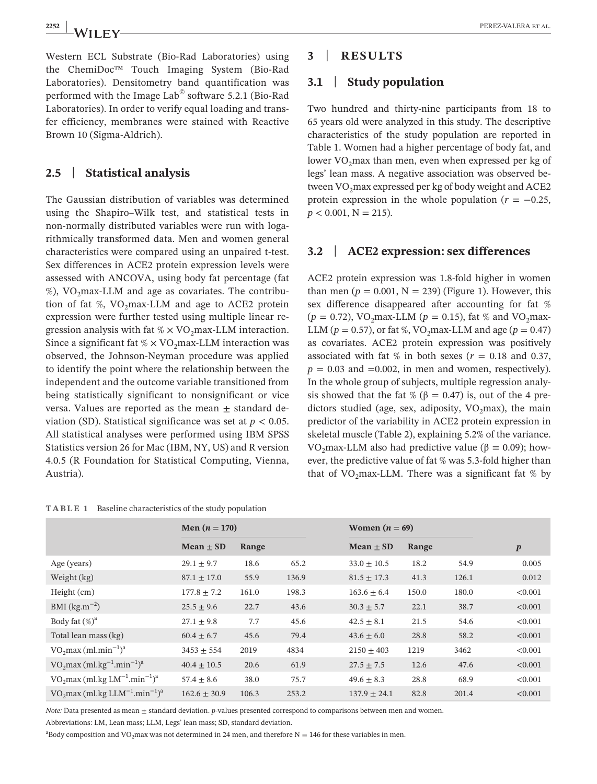Western ECL Substrate (Bio-Rad Laboratories) using the ChemiDoc™ Touch Imaging System (Bio-Rad Laboratories). Densitometry band quantification was performed with the Image Lab© software 5.2.1 (Bio-Rad Laboratories). In order to verify equal loading and transfer efficiency, membranes were stained with Reactive Brown 10 (Sigma-Aldrich).

## **2.5** | **Statistical analysis**

The Gaussian distribution of variables was determined using the Shapiro–Wilk test, and statistical tests in non-normally distributed variables were run with logarithmically transformed data. Men and women general characteristics were compared using an unpaired t-test. Sex differences in ACE2 protein expression levels were assessed with ANCOVA, using body fat percentage (fat  $\%$ ), VO<sub>2</sub>max-LLM and age as covariates. The contribution of fat %,  $VO_2$ max-LLM and age to ACE2 protein expression were further tested using multiple linear regression analysis with fat  $% \times$  VO<sub>2</sub>max-LLM interaction. Since a significant fat  $% \times VO<sub>2</sub>$  max-LLM interaction was observed, the Johnson-Neyman procedure was applied to identify the point where the relationship between the independent and the outcome variable transitioned from being statistically significant to nonsignificant or vice versa. Values are reported as the mean  $\pm$  standard deviation (SD). Statistical significance was set at  $p < 0.05$ . All statistical analyses were performed using IBM SPSS Statistics version 26 for Mac (IBM, NY, US) and R version 4.0.5 (R Foundation for Statistical Computing, Vienna, Austria).

#### **TABLE 1** Baseline characteristics of the study population

## **3** | **RESULTS**

## **3.1** | **Study population**

Two hundred and thirty-nine participants from 18 to 65 years old were analyzed in this study. The descriptive characteristics of the study population are reported in Table 1. Women had a higher percentage of body fat, and lower  $VO<sub>2</sub>max$  than men, even when expressed per kg of legs' lean mass. A negative association was observed between  $VO_2$ max expressed per kg of body weight and  $ACE2$ protein expression in the whole population  $(r = -0.25,$  $p < 0.001$ ,  $N = 215$ ).

## **3.2** | **ACE2 expression: sex differences**

ACE2 protein expression was 1.8-fold higher in women than men  $(p = 0.001, N = 239)$  (Figure 1). However, this sex difference disappeared after accounting for fat %  $(p = 0.72)$ , VO<sub>2</sub>max-LLM ( $p = 0.15$ ), fat % and VO<sub>2</sub>max-LLM ( $p = 0.57$ ), or fat %, VO<sub>2</sub>max-LLM and age ( $p = 0.47$ ) as covariates. ACE2 protein expression was positively associated with fat % in both sexes ( $r = 0.18$  and 0.37,  $p = 0.03$  and  $= 0.002$ , in men and women, respectively). In the whole group of subjects, multiple regression analysis showed that the fat % ( $\beta$  = 0.47) is, out of the 4 predictors studied (age, sex, adiposity,  $VO<sub>2</sub>max$ ), the main predictor of the variability in ACE2 protein expression in skeletal muscle (Table 2), explaining 5.2% of the variance. VO<sub>2</sub>max-LLM also had predictive value ( $β = 0.09$ ); however, the predictive value of fat % was 5.3-fold higher than that of VO<sub>2</sub>max-LLM. There was a significant fat  $%$  by

|                               | Men $(n = 170)$  |       |       | Women $(n = 69)$ |       |       |                  |
|-------------------------------|------------------|-------|-------|------------------|-------|-------|------------------|
|                               | Mean $\pm$ SD    | Range |       | $Mean \pm SD$    | Range |       | $\boldsymbol{p}$ |
| Age (years)                   | $29.1 \pm 9.7$   | 18.6  | 65.2  | $33.0 \pm 10.5$  | 18.2  | 54.9  | 0.005            |
| Weight (kg)                   | $87.1 \pm 17.0$  | 55.9  | 136.9 | $81.5 \pm 17.3$  | 41.3  | 126.1 | 0.012            |
| $Height$ (cm)                 | $177.8 + 7.2$    | 161.0 | 198.3 | $163.6 \pm 6.4$  | 150.0 | 180.0 | < 0.001          |
| $BMI (kg.m^{-2})$             | $25.5 \pm 9.6$   | 22.7  | 43.6  | $30.3 \pm 5.7$   | 22.1  | 38.7  | < 0.001          |
| Body fat $(\%)^a$             | $27.1 \pm 9.8$   | 7.7   | 45.6  | $42.5 \pm 8.1$   | 21.5  | 54.6  | < 0.001          |
| Total lean mass (kg)          | $60.4 \pm 6.7$   | 45.6  | 79.4  | $43.6 \pm 6.0$   | 28.8  | 58.2  | < 0.001          |
| $VO2max (ml.min-1)a$          | $3453 + 554$     | 2019  | 4834  | $2150 \pm 403$   | 1219  | 3462  | < 0.001          |
| $VO2max (ml.kg-1.min-1)a$     | $40.4 \pm 10.5$  | 20.6  | 61.9  | $27.5 \pm 7.5$   | 12.6  | 47.6  | < 0.001          |
| $VO2max (ml.kg LM-1.min-1)a$  | $57.4 \pm 8.6$   | 38.0  | 75.7  | $49.6 \pm 8.3$   | 28.8  | 68.9  | < 0.001          |
| $VO2max (ml.kg LLM-1.min-1)a$ | $162.6 \pm 30.9$ | 106.3 | 253.2 | $137.9 \pm 24.1$ | 82.8  | 201.4 | < 0.001          |

*Note:* Data presented as mean  $\pm$  standard deviation. *p*-values presented correspond to comparisons between men and women.

Abbreviations: LM, Lean mass; LLM, Legs' lean mass; SD, standard deviation.

<sup>a</sup>Body composition and VO<sub>2</sub>max was not determined in 24 men, and therefore N = 146 for these variables in men.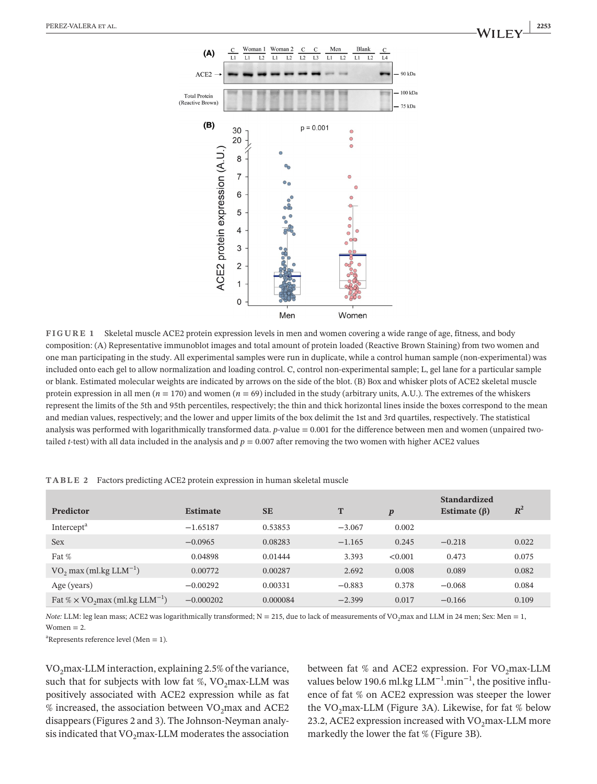

**FIGURE 1** Skeletal muscle ACE2 protein expression levels in men and women covering a wide range of age, fitness, and body composition: (A) Representative immunoblot images and total amount of protein loaded (Reactive Brown Staining) from two women and one man participating in the study. All experimental samples were run in duplicate, while a control human sample (non-experimental) was included onto each gel to allow normalization and loading control. C, control non-experimental sample; L, gel lane for a particular sample or blank. Estimated molecular weights are indicated by arrows on the side of the blot. (B) Box and whisker plots of ACE2 skeletal muscle protein expression in all men ( $n = 170$ ) and women ( $n = 69$ ) included in the study (arbitrary units, A.U.). The extremes of the whiskers represent the limits of the 5th and 95th percentiles, respectively; the thin and thick horizontal lines inside the boxes correspond to the mean and median values, respectively; and the lower and upper limits of the box delimit the 1st and 3rd quartiles, respectively. The statistical analysis was performed with logarithmically transformed data. *p*-value = 0.001 for the difference between men and women (unpaired twotailed *t*-test) with all data included in the analysis and  $p = 0.007$  after removing the two women with higher ACE2 values

| Predictor                                                     | <b>Estimate</b> | <b>SE</b> | T        | $\boldsymbol{p}$ | <b>Standardized</b><br>Estimate $(\beta)$ | $R^2$ |
|---------------------------------------------------------------|-----------------|-----------|----------|------------------|-------------------------------------------|-------|
| Intercept <sup>a</sup>                                        | $-1.65187$      | 0.53853   | $-3.067$ | 0.002            |                                           |       |
| <b>Sex</b>                                                    | $-0.0965$       | 0.08283   | $-1.165$ | 0.245            | $-0.218$                                  | 0.022 |
| Fat %                                                         | 0.04898         | 0.01444   | 3.393    | < 0.001          | 0.473                                     | 0.075 |
| VO <sub>2</sub> max (ml.kg $LLM^{-1}$ )                       | 0.00772         | 0.00287   | 2.692    | 0.008            | 0.089                                     | 0.082 |
| Age (years)                                                   | $-0.00292$      | 0.00331   | $-0.883$ | 0.378            | $-0.068$                                  | 0.084 |
| Fat % $\times$ VO <sub>2</sub> max (ml.kg LLM <sup>-1</sup> ) | $-0.000202$     | 0.000084  | $-2.399$ | 0.017            | $-0.166$                                  | 0.109 |

**TABLE 2** Factors predicting ACE2 protein expression in human skeletal muscle

*Note: LLM: leg lean mass; ACE2 was logarithmically transformed; N = 215, due to lack of measurements of VO<sub>2</sub>max and LLM in 24 men; Sex: Men = 1,* Women  $= 2$ .

<sup>a</sup>Represents reference level (Men = 1).

 $VO<sub>2</sub>max-LLM interaction, explaining 2.5% of the variance,$ such that for subjects with low fat %,  $VO<sub>2</sub>$  max-LLM was positively associated with ACE2 expression while as fat % increased, the association between  $VO<sub>2</sub>$ max and ACE2 disappears (Figures 2 and 3). The Johnson-Neyman analysis indicated that  $VO<sub>2</sub>max-LLM$  moderates the association

between fat % and ACE2 expression. For  $VO<sub>2</sub>max-LLM$ values below 190.6 ml.kg LLM−1.min−1, the positive influence of fat % on ACE2 expression was steeper the lower the VO<sub>2</sub>max-LLM (Figure 3A). Likewise, for fat % below 23.2, ACE2 expression increased with  $VO<sub>2</sub>$ max-LLM more markedly the lower the fat % (Figure 3B).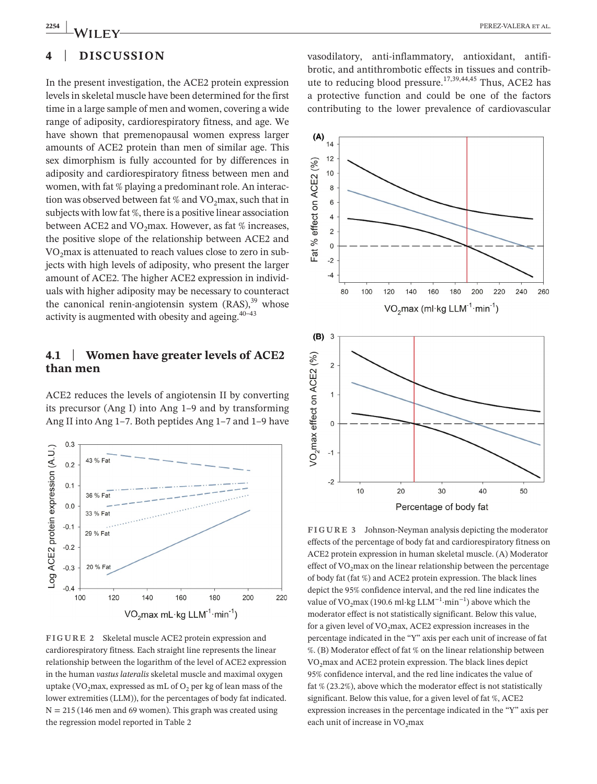# **4** | **DISCUSSION**

In the present investigation, the ACE2 protein expression levels in skeletal muscle have been determined for the first time in a large sample of men and women, covering a wide range of adiposity, cardiorespiratory fitness, and age. We have shown that premenopausal women express larger amounts of ACE2 protein than men of similar age. This sex dimorphism is fully accounted for by differences in adiposity and cardiorespiratory fitness between men and women, with fat % playing a predominant role. An interaction was observed between fat % and  $VO_2$ max, such that in subjects with low fat %, there is a positive linear association between ACE2 and VO<sub>2</sub>max. However, as fat % increases, the positive slope of the relationship between ACE2 and VO<sub>2</sub>max is attenuated to reach values close to zero in subjects with high levels of adiposity, who present the larger amount of ACE2. The higher ACE2 expression in individuals with higher adiposity may be necessary to counteract the canonical renin-angiotensin system  $(RAS)$ ,<sup>39</sup> whose activity is augmented with obesity and ageing.  $40-43$ 

## **4.1** | **Women have greater levels of ACE2 than men**

ACE2 reduces the levels of angiotensin II by converting its precursor (Ang I) into Ang 1–9 and by transforming Ang II into Ang 1–7. Both peptides Ang 1–7 and 1–9 have



**FIGURE 2** Skeletal muscle ACE2 protein expression and cardiorespiratory fitness. Each straight line represents the linear relationship between the logarithm of the level of ACE2 expression in the human *vastus lateralis* skeletal muscle and maximal oxygen uptake (VO<sub>2</sub>max, expressed as mL of  $O_2$  per kg of lean mass of the lower extremities (LLM)), for the percentages of body fat indicated.  $N = 215$  (146 men and 69 women). This graph was created using the regression model reported in Table 2

vasodilatory, anti-inflammatory, antioxidant, antifibrotic, and antithrombotic effects in tissues and contribute to reducing blood pressure.<sup>17,39,44,45</sup> Thus, ACE2 has a protective function and could be one of the factors contributing to the lower prevalence of cardiovascular



**FIGURE 3** Johnson-Neyman analysis depicting the moderator effects of the percentage of body fat and cardiorespiratory fitness on ACE2 protein expression in human skeletal muscle. (A) Moderator effect of  $VO<sub>2</sub>max$  on the linear relationship between the percentage of body fat (fat %) and ACE2 protein expression. The black lines depict the 95% confidence interval, and the red line indicates the value of VO<sub>2</sub>max (190.6 ml·kg LLM<sup>-1</sup>·min<sup>-1</sup>) above which the moderator effect is not statistically significant. Below this value, for a given level of  $VO<sub>2</sub>$ max, ACE2 expression increases in the percentage indicated in the "Y" axis per each unit of increase of fat %. (B) Moderator effect of fat % on the linear relationship between VO2max and ACE2 protein expression. The black lines depict 95% confidence interval, and the red line indicates the value of fat % (23.2%), above which the moderator effect is not statistically significant. Below this value, for a given level of fat %, ACE2 expression increases in the percentage indicated in the "Y" axis per each unit of increase in  $VO<sub>2</sub>max$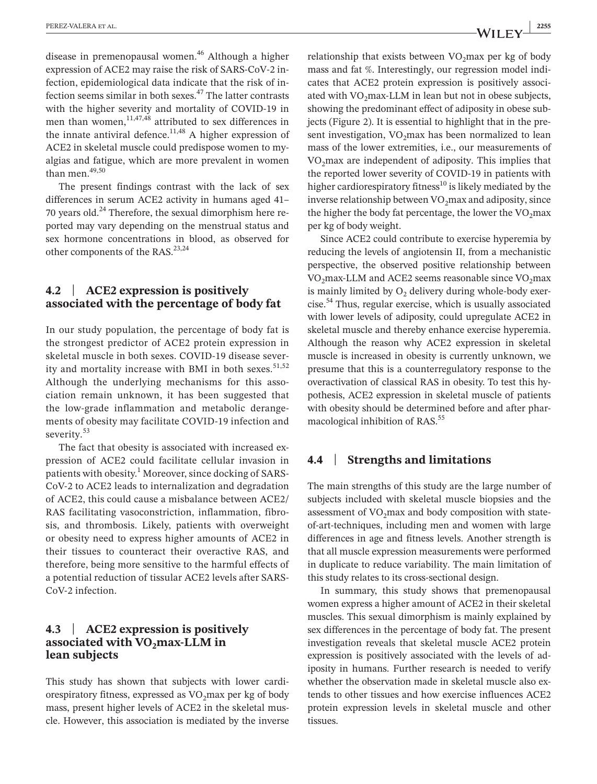disease in premenopausal women.<sup>46</sup> Although a higher expression of ACE2 may raise the risk of SARS-CoV-2 infection, epidemiological data indicate that the risk of infection seems similar in both sexes. $47$  The latter contrasts with the higher severity and mortality of COVID-19 in men than women,  $11,47,48$  attributed to sex differences in the innate antiviral defence. $11,48$  A higher expression of ACE2 in skeletal muscle could predispose women to myalgias and fatigue, which are more prevalent in women than men.49,50

The present findings contrast with the lack of sex differences in serum ACE2 activity in humans aged 41– 70 years old. $^{24}$  Therefore, the sexual dimorphism here reported may vary depending on the menstrual status and sex hormone concentrations in blood, as observed for other components of the RAS.<sup>23,24</sup>

## **4.2** | **ACE2 expression is positively associated with the percentage of body fat**

In our study population, the percentage of body fat is the strongest predictor of ACE2 protein expression in skeletal muscle in both sexes. COVID-19 disease severity and mortality increase with BMI in both sexes.<sup>51,52</sup> Although the underlying mechanisms for this association remain unknown, it has been suggested that the low-grade inflammation and metabolic derangements of obesity may facilitate COVID-19 infection and severity.<sup>53</sup>

The fact that obesity is associated with increased expression of ACE2 could facilitate cellular invasion in patients with obesity.<sup>1</sup> Moreover, since docking of SARS-CoV-2 to ACE2 leads to internalization and degradation of ACE2, this could cause a misbalance between ACE2/ RAS facilitating vasoconstriction, inflammation, fibrosis, and thrombosis. Likely, patients with overweight or obesity need to express higher amounts of ACE2 in their tissues to counteract their overactive RAS, and therefore, being more sensitive to the harmful effects of a potential reduction of tissular ACE2 levels after SARS-CoV-2 infection.

## **4.3** | **ACE2 expression is positively**  associated with VO<sub>2</sub>max-LLM in **lean subjects**

This study has shown that subjects with lower cardiorespiratory fitness, expressed as  $VO<sub>2</sub>$ max per kg of body mass, present higher levels of ACE2 in the skeletal muscle. However, this association is mediated by the inverse relationship that exists between  $VO_2$ max per kg of body mass and fat %. Interestingly, our regression model indicates that ACE2 protein expression is positively associated with  $VO<sub>2</sub>max-LLM$  in lean but not in obese subjects, showing the predominant effect of adiposity in obese subjects (Figure 2). It is essential to highlight that in the present investigation,  $VO<sub>2</sub>$ max has been normalized to lean mass of the lower extremities, i.e., our measurements of VO<sub>2</sub>max are independent of adiposity. This implies that the reported lower severity of COVID-19 in patients with higher cardiorespiratory fitness<sup>10</sup> is likely mediated by the inverse relationship between  $VO<sub>2</sub>$ max and adiposity, since the higher the body fat percentage, the lower the  $VO_2$ max per kg of body weight.

Since ACE2 could contribute to exercise hyperemia by reducing the levels of angiotensin II, from a mechanistic perspective, the observed positive relationship between  $VO<sub>2</sub>$ max-LLM and ACE2 seems reasonable since  $VO<sub>2</sub>$ max is mainly limited by  $O<sub>2</sub>$  delivery during whole-body exercise.54 Thus, regular exercise, which is usually associated with lower levels of adiposity, could upregulate ACE2 in skeletal muscle and thereby enhance exercise hyperemia. Although the reason why ACE2 expression in skeletal muscle is increased in obesity is currently unknown, we presume that this is a counterregulatory response to the overactivation of classical RAS in obesity. To test this hypothesis, ACE2 expression in skeletal muscle of patients with obesity should be determined before and after pharmacological inhibition of RAS.<sup>55</sup>

### **4.4** | **Strengths and limitations**

The main strengths of this study are the large number of subjects included with skeletal muscle biopsies and the assessment of  $VO<sub>2</sub>max$  and body composition with stateof-art-techniques, including men and women with large differences in age and fitness levels. Another strength is that all muscle expression measurements were performed in duplicate to reduce variability. The main limitation of this study relates to its cross-sectional design.

In summary, this study shows that premenopausal women express a higher amount of ACE2 in their skeletal muscles. This sexual dimorphism is mainly explained by sex differences in the percentage of body fat. The present investigation reveals that skeletal muscle ACE2 protein expression is positively associated with the levels of adiposity in humans. Further research is needed to verify whether the observation made in skeletal muscle also extends to other tissues and how exercise influences ACE2 protein expression levels in skeletal muscle and other tissues.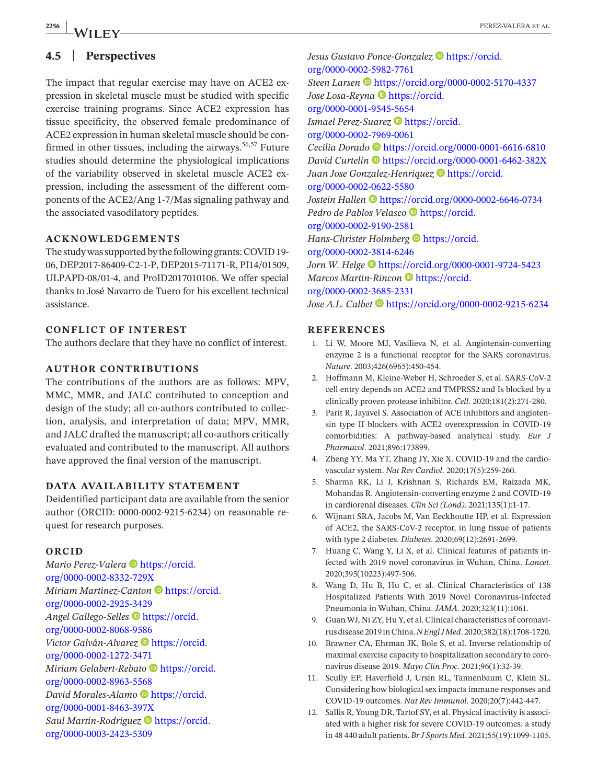## **4.5** | **Perspectives**

The impact that regular exercise may have on ACE2 expression in skeletal muscle must be studied with specific exercise training programs. Since ACE2 expression has tissue specificity, the observed female predominance of ACE2 expression in human skeletal muscle should be confirmed in other tissues, including the airways.<sup>56,57</sup> Future studies should determine the physiological implications of the variability observed in skeletal muscle ACE2 expression, including the assessment of the different components of the ACE2/Ang 1-7/Mas signaling pathway and the associated vasodilatory peptides.

#### **ACKNOWLEDGEMENTS**

The study was supported by the following grants: COVID 19- 06, DEP2017-86409-C2-1-P, DEP2015-71171-R, PI14/01509, ULPAPD-08/01-4, and ProID2017010106. We offer special thanks to José Navarro de Tuero for his excellent technical assistance.

### **CONFLICT OF INTEREST**

The authors declare that they have no conflict of interest.

#### **AUTHOR CONTRIBUTIONS**

The contributions of the authors are as follows: MPV, MMC, MMR, and JALC contributed to conception and design of the study; all co-authors contributed to collection, analysis, and interpretation of data; MPV, MMR, and JALC drafted the manuscript; all co-authors critically evaluated and contributed to the manuscript. All authors have approved the final version of the manuscript.

#### **DATA AVAILABILITY STATEMENT**

Deidentified participant data are available from the senior author (ORCID: 0000-0002-9215-6234) on reasonable request for research purposes.

#### **ORCID**

*Mario Perez-Valera* **b**[https://orcid.](https://orcid.org/0000-0002-8332-729X) [org/0000-0002-8332-729X](https://orcid.org/0000-0002-8332-729X) *Miriam Martinez-Canton* **D** [https://orcid.](https://orcid.org/0000-0002-2925-3429) [org/0000-0002-2925-3429](https://orcid.org/0000-0002-2925-3429) *Angel Gallego-Selles* [https://orcid.](https://orcid.org/0000-0002-8068-9586) [org/0000-0002-8068-9586](https://orcid.org/0000-0002-8068-9586) *Victor Galván-Alvarez* **b**[https://orcid.](https://orcid.org/0000-0002-1272-3471) [org/0000-0002-1272-3471](https://orcid.org/0000-0002-1272-3471) *Miriam Gelabert-Rebato* **[https://orcid.](https://orcid.org/0000-0002-8963-5568)** [org/0000-0002-8963-5568](https://orcid.org/0000-0002-8963-5568) *David Morales-Alamo* [https://orcid.](https://orcid.org/0000-0001-8463-397X) [org/0000-0001-8463-397X](https://orcid.org/0000-0001-8463-397X) *Saul Martin-Rodriguez* **D** [https://orcid.](https://orcid.org/0000-0003-2423-5309) [org/0000-0003-2423-5309](https://orcid.org/0000-0003-2423-5309)

*Jesus Gustavo Ponce-Gonzalez* **b**[https://orcid.](https://orcid.org/0000-0002-5982-7761) [org/0000-0002-5982-7761](https://orcid.org/0000-0002-5982-7761) *Steen Larsen* <https://orcid.org/0000-0002-5170-4337> *Jose Losa-Reyna* **[https://orcid.](https://orcid.org/0000-0001-9545-5654)** [org/0000-0001-9545-5654](https://orcid.org/0000-0001-9545-5654) *Ismael Perez-Suarez* **[https://orcid.](https://orcid.org/0000-0002-7969-0061)** [org/0000-0002-7969-0061](https://orcid.org/0000-0002-7969-0061) *Cecilia Dorado* <https://orcid.org/0000-0001-6616-6810> *David Curtelin* <https://orcid.org/0000-0001-6462-382X> Juan Jose Gonzalez-Henriquez<sup> D</sup>[https://orcid.](https://orcid.org/0000-0002-0622-5580) [org/0000-0002-0622-5580](https://orcid.org/0000-0002-0622-5580) *Jostein Hallen* <https://orcid.org/0000-0002-6646-0734> Pedro de Pablos Velasco<sup> •</sup> [https://orcid.](https://orcid.org/0000-0002-9190-2581) [org/0000-0002-9190-2581](https://orcid.org/0000-0002-9190-2581) *Hans-Christer Holmberg* **D** [https://orcid.](https://orcid.org/0000-0002-3814-6246) [org/0000-0002-3814-6246](https://orcid.org/0000-0002-3814-6246) *Jorn W. Helge*  $\bullet$  <https://orcid.org/0000-0001-9724-5423> *Marcos Martin-Rincon* **D** [https://orcid.](https://orcid.org/0000-0002-3685-2331) [org/0000-0002-3685-2331](https://orcid.org/0000-0002-3685-2331) *Jose A.L. Calbet*  $\bullet$  <https://orcid.org/0000-0002-9215-6234>

#### **REFERENCES**

- 1. Li W, Moore MJ, Vasilieva N, et al. Angiotensin-converting enzyme 2 is a functional receptor for the SARS coronavirus. *Nature*. 2003;426(6965):450-454.
- 2. Hoffmann M, Kleine-Weber H, Schroeder S, et al. SARS-CoV-2 cell entry depends on ACE2 and TMPRSS2 and Is blocked by a clinically proven protease inhibitor. *Cell*. 2020;181(2):271-280.
- 3. Parit R, Jayavel S. Association of ACE inhibitors and angiotensin type II blockers with ACE2 overexpression in COVID-19 comorbidities: A pathway-based analytical study. *Eur J Pharmacol*. 2021;896:173899.
- 4. Zheng YY, Ma YT, Zhang JY, Xie X. COVID-19 and the cardiovascular system. *Nat Rev Cardiol*. 2020;17(5):259-260.
- 5. Sharma RK, Li J, Krishnan S, Richards EM, Raizada MK, Mohandas R. Angiotensin-converting enzyme 2 and COVID-19 in cardiorenal diseases. *Clin Sci (Lond)*. 2021;135(1):1-17.
- 6. Wijnant SRA, Jacobs M, Van Eeckhoutte HP, et al. Expression of ACE2, the SARS-CoV-2 receptor, in lung tissue of patients with type 2 diabetes. *Diabetes*. 2020;69(12):2691-2699.
- 7. Huang C, Wang Y, Li X, et al. Clinical features of patients infected with 2019 novel coronavirus in Wuhan, China. *Lancet*. 2020;395(10223):497-506.
- 8. Wang D, Hu B, Hu C, et al. Clinical Characteristics of 138 Hospitalized Patients With 2019 Novel Coronavirus-Infected Pneumonia in Wuhan, China. *JAMA*. 2020;323(11):1061.
- 9. Guan WJ, Ni ZY, Hu Y, et al. Clinical characteristics of coronavirus disease 2019 in China. *N Engl J Med*. 2020;382(18):1708-1720.
- 10. Brawner CA, Ehrman JK, Bole S, et al. Inverse relationship of maximal exercise capacity to hospitalization secondary to coronavirus disease 2019. *Mayo Clin Proc*. 2021;96(1):32-39.
- 11. Scully EP, Haverfield J, Ursin RL, Tannenbaum C, Klein SL. Considering how biological sex impacts immune responses and COVID-19 outcomes. *Nat Rev Immunol*. 2020;20(7):442-447.
- 12. Sallis R, Young DR, Tartof SY, et al. Physical inactivity is associated with a higher risk for severe COVID-19 outcomes: a study in 48 440 adult patients. *Br J Sports Med*. 2021;55(19):1099-1105.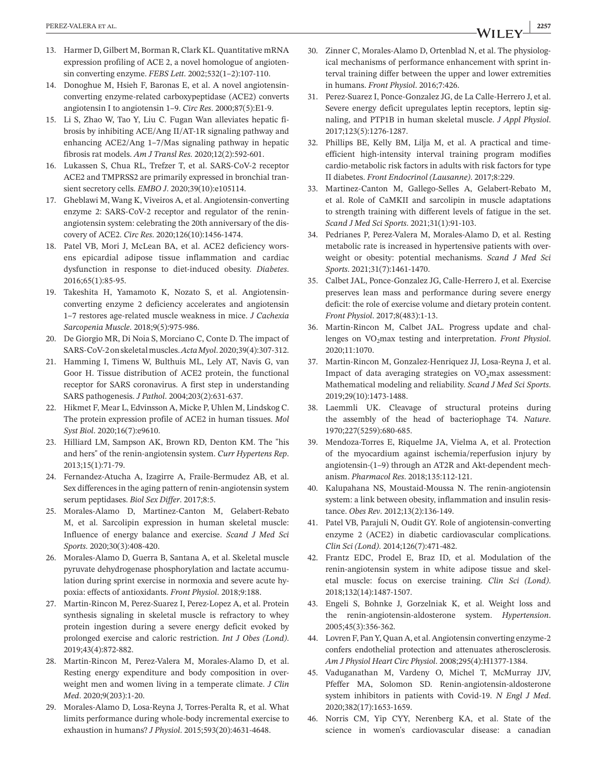- 13. Harmer D, Gilbert M, Borman R, Clark KL. Quantitative mRNA expression profiling of ACE 2, a novel homologue of angiotensin converting enzyme. *FEBS Lett*. 2002;532(1–2):107-110.
- 14. Donoghue M, Hsieh F, Baronas E, et al. A novel angiotensinconverting enzyme-related carboxypeptidase (ACE2) converts angiotensin I to angiotensin 1–9. *Circ Res*. 2000;87(5):E1-9.
- 15. Li S, Zhao W, Tao Y, Liu C. Fugan Wan alleviates hepatic fibrosis by inhibiting ACE/Ang II/AT-1R signaling pathway and enhancing ACE2/Ang 1–7/Mas signaling pathway in hepatic fibrosis rat models. *Am J Transl Res*. 2020;12(2):592-601.
- 16. Lukassen S, Chua RL, Trefzer T, et al. SARS-CoV-2 receptor ACE2 and TMPRSS2 are primarily expressed in bronchial transient secretory cells. *EMBO J*. 2020;39(10):e105114.
- 17. Gheblawi M, Wang K, Viveiros A, et al. Angiotensin-converting enzyme 2: SARS-CoV-2 receptor and regulator of the reninangiotensin system: celebrating the 20th anniversary of the discovery of ACE2. *Circ Res*. 2020;126(10):1456-1474.
- 18. Patel VB, Mori J, McLean BA, et al. ACE2 deficiency worsens epicardial adipose tissue inflammation and cardiac dysfunction in response to diet-induced obesity. *Diabetes*. 2016;65(1):85-95.
- 19. Takeshita H, Yamamoto K, Nozato S, et al. Angiotensinconverting enzyme 2 deficiency accelerates and angiotensin 1–7 restores age-related muscle weakness in mice. *J Cachexia Sarcopenia Muscle*. 2018;9(5):975-986.
- 20. De Giorgio MR, Di Noia S, Morciano C, Conte D. The impact of SARS-CoV-2 on skeletal muscles. *Acta Myol*. 2020;39(4):307-312.
- 21. Hamming I, Timens W, Bulthuis ML, Lely AT, Navis G, van Goor H. Tissue distribution of ACE2 protein, the functional receptor for SARS coronavirus. A first step in understanding SARS pathogenesis. *J Pathol*. 2004;203(2):631-637.
- 22. Hikmet F, Mear L, Edvinsson A, Micke P, Uhlen M, Lindskog C. The protein expression profile of ACE2 in human tissues. *Mol Syst Biol*. 2020;16(7):e9610.
- 23. Hilliard LM, Sampson AK, Brown RD, Denton KM. The "his and hers" of the renin-angiotensin system. *Curr Hypertens Rep*. 2013;15(1):71-79.
- 24. Fernandez-Atucha A, Izagirre A, Fraile-Bermudez AB, et al. Sex differences in the aging pattern of renin-angiotensin system serum peptidases. *Biol Sex Differ*. 2017;8:5.
- 25. Morales-Alamo D, Martinez-Canton M, Gelabert-Rebato M, et al. Sarcolipin expression in human skeletal muscle: Influence of energy balance and exercise. *Scand J Med Sci Sports*. 2020;30(3):408-420.
- 26. Morales-Alamo D, Guerra B, Santana A, et al. Skeletal muscle pyruvate dehydrogenase phosphorylation and lactate accumulation during sprint exercise in normoxia and severe acute hypoxia: effects of antioxidants. *Front Physiol*. 2018;9:188.
- 27. Martin-Rincon M, Perez-Suarez I, Perez-Lopez A, et al. Protein synthesis signaling in skeletal muscle is refractory to whey protein ingestion during a severe energy deficit evoked by prolonged exercise and caloric restriction. *Int J Obes (Lond)*. 2019;43(4):872-882.
- 28. Martin-Rincon M, Perez-Valera M, Morales-Alamo D, et al. Resting energy expenditure and body composition in overweight men and women living in a temperate climate. *J Clin Med*. 2020;9(203):1-20.
- 29. Morales-Alamo D, Losa-Reyna J, Torres-Peralta R, et al. What limits performance during whole-body incremental exercise to exhaustion in humans? *J Physiol*. 2015;593(20):4631-4648.
- 30. Zinner C, Morales-Alamo D, Ortenblad N, et al. The physiological mechanisms of performance enhancement with sprint interval training differ between the upper and lower extremities in humans. *Front Physiol*. 2016;7:426.
- 31. Perez-Suarez I, Ponce-Gonzalez JG, de La Calle-Herrero J, et al. Severe energy deficit upregulates leptin receptors, leptin signaling, and PTP1B in human skeletal muscle. *J Appl Physiol*. 2017;123(5):1276-1287.
- 32. Phillips BE, Kelly BM, Lilja M, et al. A practical and timeefficient high-intensity interval training program modifies cardio-metabolic risk factors in adults with risk factors for type II diabetes. *Front Endocrinol (Lausanne)*. 2017;8:229.
- 33. Martinez-Canton M, Gallego-Selles A, Gelabert-Rebato M, et al. Role of CaMKII and sarcolipin in muscle adaptations to strength training with different levels of fatigue in the set. *Scand J Med Sci Sports*. 2021;31(1):91-103.
- 34. Pedrianes P, Perez-Valera M, Morales-Alamo D, et al. Resting metabolic rate is increased in hypertensive patients with overweight or obesity: potential mechanisms. *Scand J Med Sci Sports*. 2021;31(7):1461-1470.
- 35. Calbet JAL, Ponce-Gonzalez JG, Calle-Herrero J, et al. Exercise preserves lean mass and performance during severe energy deficit: the role of exercise volume and dietary protein content. *Front Physiol*. 2017;8(483):1-13.
- 36. Martin-Rincon M, Calbet JAL. Progress update and challenges on VO<sub>2</sub>max testing and interpretation. *Front Physiol*. 2020;11:1070.
- 37. Martin-Rincon M, Gonzalez-Henriquez JJ, Losa-Reyna J, et al. Impact of data averaging strategies on  $VO<sub>2</sub>max$  assessment: Mathematical modeling and reliability. *Scand J Med Sci Sports*. 2019;29(10):1473-1488.
- 38. Laemmli UK. Cleavage of structural proteins during the assembly of the head of bacteriophage T4. *Nature*. 1970;227(5259):680-685.
- 39. Mendoza-Torres E, Riquelme JA, Vielma A, et al. Protection of the myocardium against ischemia/reperfusion injury by angiotensin-(1–9) through an AT2R and Akt-dependent mechanism. *Pharmacol Res*. 2018;135:112-121.
- 40. Kalupahana NS, Moustaid-Moussa N. The renin-angiotensin system: a link between obesity, inflammation and insulin resistance. *Obes Rev*. 2012;13(2):136-149.
- 41. Patel VB, Parajuli N, Oudit GY. Role of angiotensin-converting enzyme 2 (ACE2) in diabetic cardiovascular complications. *Clin Sci (Lond)*. 2014;126(7):471-482.
- 42. Frantz EDC, Prodel E, Braz ID, et al. Modulation of the renin-angiotensin system in white adipose tissue and skeletal muscle: focus on exercise training. *Clin Sci (Lond)*. 2018;132(14):1487-1507.
- 43. Engeli S, Bohnke J, Gorzelniak K, et al. Weight loss and the renin-angiotensin-aldosterone system. *Hypertension*. 2005;45(3):356-362.
- 44. Lovren F, Pan Y, Quan A, et al. Angiotensin converting enzyme-2 confers endothelial protection and attenuates atherosclerosis. *Am J Physiol Heart Circ Physiol*. 2008;295(4):H1377-1384.
- 45. Vaduganathan M, Vardeny O, Michel T, McMurray JJV, Pfeffer MA, Solomon SD. Renin-angiotensin-aldosterone system inhibitors in patients with Covid-19. *N Engl J Med*. 2020;382(17):1653-1659.
- 46. Norris CM, Yip CYY, Nerenberg KA, et al. State of the science in women's cardiovascular disease: a canadian